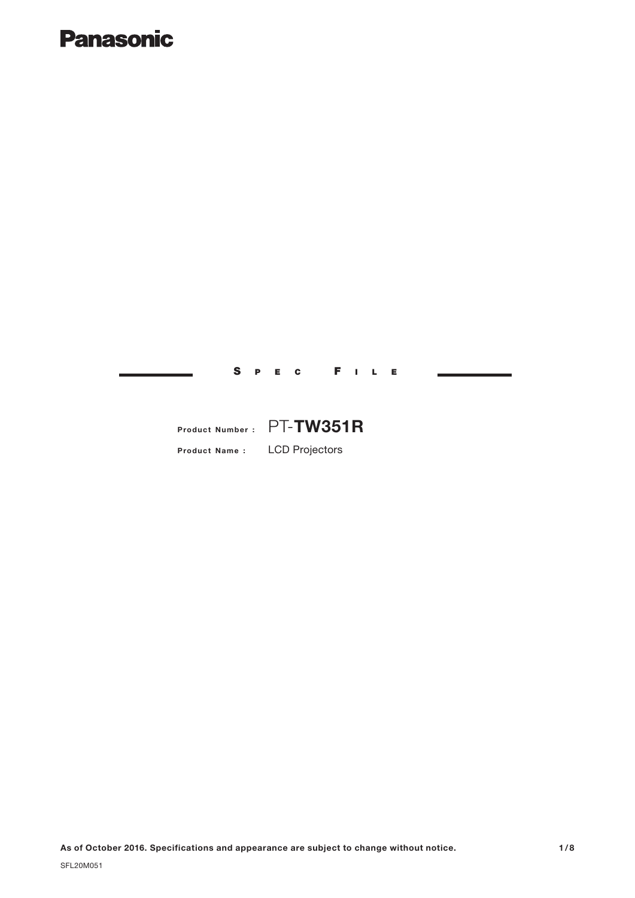# **Panasonic**

**Product Name :** LCD Projectors **Product Number :** PT-**TW351R**

S PEC F ILE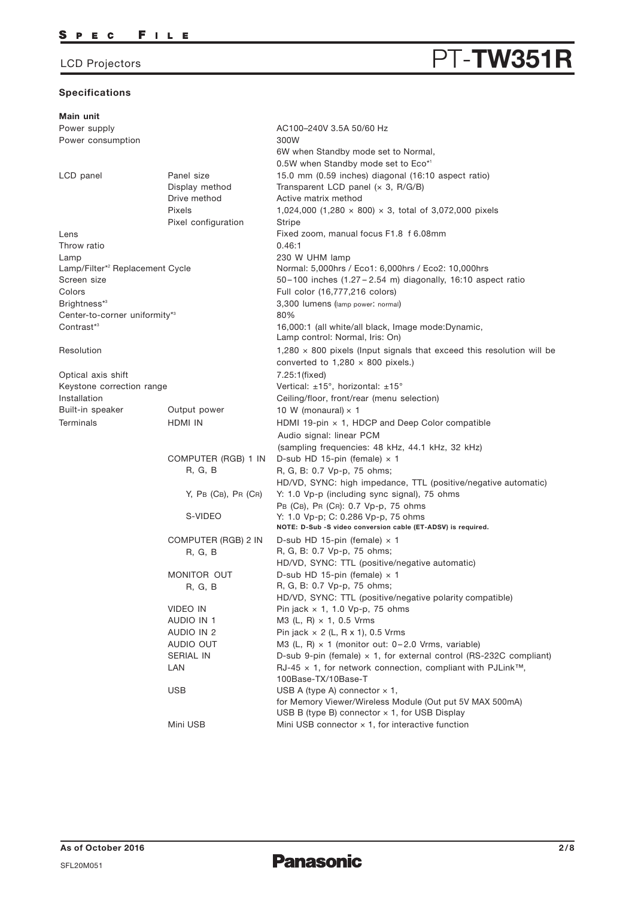## **Specifications**

# LCD Projectors **PT-TW351R**

| Main unit                                   |                        |                                                                                                                          |  |  |
|---------------------------------------------|------------------------|--------------------------------------------------------------------------------------------------------------------------|--|--|
| Power supply                                |                        | AC100-240V 3.5A 50/60 Hz                                                                                                 |  |  |
| Power consumption                           |                        | 300W                                                                                                                     |  |  |
|                                             |                        | 6W when Standby mode set to Normal,                                                                                      |  |  |
|                                             |                        | 0.5W when Standby mode set to Eco*1                                                                                      |  |  |
| LCD panel                                   | Panel size             | 15.0 mm (0.59 inches) diagonal (16:10 aspect ratio)                                                                      |  |  |
|                                             | Display method         | Transparent LCD panel (x 3, R/G/B)                                                                                       |  |  |
|                                             | Drive method           | Active matrix method                                                                                                     |  |  |
|                                             | Pixels                 | 1,024,000 (1,280 $\times$ 800) $\times$ 3, total of 3,072,000 pixels                                                     |  |  |
|                                             | Pixel configuration    | Stripe                                                                                                                   |  |  |
| Lens                                        |                        | Fixed zoom, manual focus F1.8 f 6.08mm                                                                                   |  |  |
| Throw ratio                                 |                        | 0.46:1                                                                                                                   |  |  |
| Lamp                                        |                        | 230 W UHM lamp                                                                                                           |  |  |
| Lamp/Filter* <sup>2</sup> Replacement Cycle |                        | Normal: 5,000hrs / Eco1: 6,000hrs / Eco2: 10,000hrs                                                                      |  |  |
| Screen size                                 |                        | 50-100 inches (1.27-2.54 m) diagonally, 16:10 aspect ratio                                                               |  |  |
| Colors                                      |                        | Full color (16,777,216 colors)                                                                                           |  |  |
| Brightness*3                                |                        | 3,300 lumens (lamp power: normal)                                                                                        |  |  |
| Center-to-corner uniformity*3               |                        | 80%                                                                                                                      |  |  |
| Contrast <sup>*3</sup>                      |                        | 16,000:1 (all white/all black, Image mode:Dynamic,                                                                       |  |  |
|                                             |                        | Lamp control: Normal, Iris: On)                                                                                          |  |  |
| Resolution                                  |                        | $1,280 \times 800$ pixels (Input signals that exceed this resolution will be<br>converted to $1,280 \times 800$ pixels.) |  |  |
| Optical axis shift                          |                        | 7.25:1(fixed)                                                                                                            |  |  |
| Keystone correction range                   |                        | Vertical: ±15°, horizontal: ±15°                                                                                         |  |  |
| Installation                                |                        | Ceiling/floor, front/rear (menu selection)                                                                               |  |  |
| Built-in speaker                            | Output power           | 10 W (monaural) $\times$ 1                                                                                               |  |  |
| Terminals                                   | HDMI IN                | HDMI 19-pin $\times$ 1, HDCP and Deep Color compatible                                                                   |  |  |
|                                             |                        | Audio signal: linear PCM                                                                                                 |  |  |
|                                             |                        | (sampling frequencies: 48 kHz, 44.1 kHz, 32 kHz)                                                                         |  |  |
|                                             | COMPUTER (RGB) 1 IN    | D-sub HD 15-pin (female) $\times$ 1                                                                                      |  |  |
|                                             | <b>R, G, B</b>         | R, G, B: 0.7 Vp-p, 75 ohms;                                                                                              |  |  |
|                                             |                        | HD/VD, SYNC: high impedance, TTL (positive/negative automatic)                                                           |  |  |
|                                             | $Y$ , PB (CB), PR (CR) | Y: 1.0 Vp-p (including sync signal), 75 ohms                                                                             |  |  |
|                                             |                        | PB (CB), PR (CR): 0.7 Vp-p, 75 ohms                                                                                      |  |  |
|                                             | S-VIDEO                | Y: 1.0 Vp-p; C: 0.286 Vp-p, 75 ohms                                                                                      |  |  |
|                                             |                        | NOTE: D-Sub -S video conversion cable (ET-ADSV) is required.                                                             |  |  |
|                                             | COMPUTER (RGB) 2 IN    | D-sub HD 15-pin (female) $\times$ 1                                                                                      |  |  |
|                                             | R, G, B                | R, G, B: 0.7 Vp-p, 75 ohms;                                                                                              |  |  |
|                                             |                        | HD/VD, SYNC: TTL (positive/negative automatic)                                                                           |  |  |
|                                             | MONITOR OUT            | D-sub HD 15-pin (female) $\times$ 1                                                                                      |  |  |
|                                             | R, G, B                | R, G, B: 0.7 Vp-p, 75 ohms;                                                                                              |  |  |
|                                             |                        | HD/VD, SYNC: TTL (positive/negative polarity compatible)                                                                 |  |  |
|                                             | VIDEO IN               | Pin jack $\times$ 1, 1.0 Vp-p, 75 ohms                                                                                   |  |  |
|                                             | AUDIO IN 1             | M3 (L, R) $\times$ 1, 0.5 Vrms                                                                                           |  |  |
|                                             | AUDIO IN 2             | Pin jack $\times$ 2 (L, R $\times$ 1), 0.5 Vrms                                                                          |  |  |
|                                             | AUDIO OUT              | M3 (L, R) $\times$ 1 (monitor out: 0-2.0 Vrms, variable)                                                                 |  |  |
|                                             | <b>SERIAL IN</b>       | D-sub 9-pin (female) $\times$ 1, for external control (RS-232C compliant)                                                |  |  |
|                                             | LAN                    | RJ-45 $\times$ 1, for network connection, compliant with PJLink <sup>TM</sup> ,                                          |  |  |
|                                             |                        | 100Base-TX/10Base-T                                                                                                      |  |  |
|                                             | <b>USB</b>             | USB A (type A) connector $\times$ 1,<br>for Memory Viewer/Wireless Module (Out put 5V MAX 500mA)                         |  |  |
|                                             |                        | USB B (type B) connector $\times$ 1, for USB Display                                                                     |  |  |
|                                             |                        |                                                                                                                          |  |  |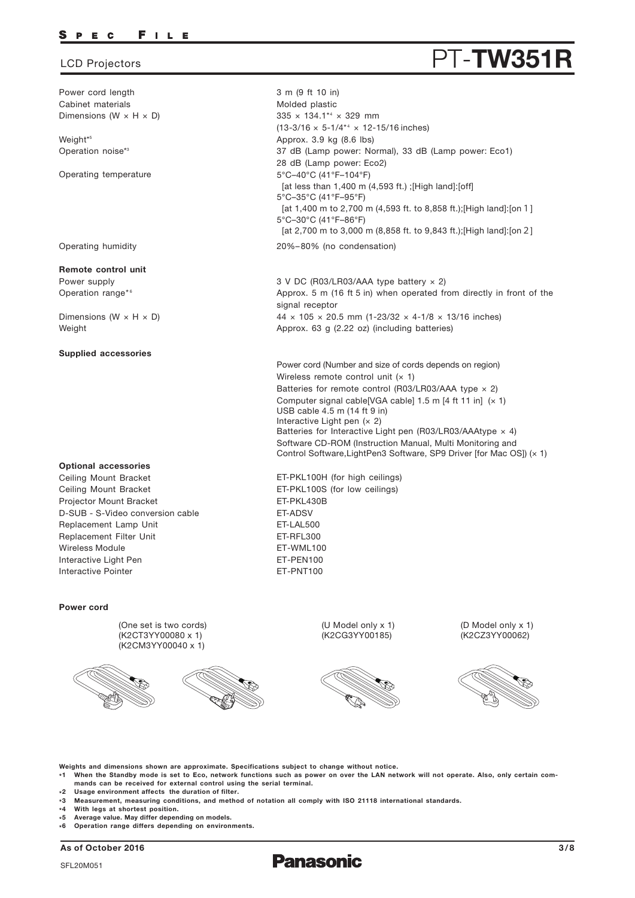### FILE P E C

Power cord length Cabinet materials Dimensions (W  $\times$  H  $\times$  D)

Weight\* 5 Operation noise\*3

Operating temperature

Operating humidity

### **Remote control unit**

Power supply Operation range\*6

Dimensions ( $W \times H \times D$ ) Weight

### **Supplied accessories**

### **Optional accessories**

Replacement Lamp Unit Replacement Filter Unit Ceiling Mount Bracket Ceiling Mount Bracket Projector Mount Bracket Wireless Module Interactive Light Pen Interactive Pointer D-SUB - S-Video conversion cable

### **Power cord**

(One set is two cords) (K2CT3YY00080 x 1) (K2CM3YY00040 x 1)





(U Model only x 1) (K2CG3YY00185)



(D Model only x 1) (K2CZ3YY00062)



**Weights and dimensions shown are approximate. Specifications subject to change without notice.**

- **\*1 When the Standby mode is set to Eco, network functions such as power on over the LAN network will not operate. Also, only certain commands can be received for external control using the serial terminal.**
- **\*2 Usage environment affects the duration of filter.**
- **\*3 Measurement, measuring conditions, and method of notation all comply with ISO 21118 international standards.**
- **\* 4 With legs at shortest position.**
- **\* 5 Average value. May differ depending on models.**
- **\* 6 Operation range differs depending on environments.**

**As of October 2016 3/8**

# LCD Projectors **PT** - **TW351R**

3 m (9 ft 10 in) Molded plastic 335 × 134.1\*4 × 329 mm  $(13-3/16 \times 5-1/4^{*4} \times 12-15/16)$  inches) Approx. 3.9 kg (8.6 lbs) 20%–80% (no condensation) 37 dB (Lamp power: Normal), 33 dB (Lamp power: Eco1) 28 dB (Lamp power: Eco2) 5°C–40°C (41°F–104°F) [at less than 1,400 m (4,593 ft.) ;[High land]:[off] 5°C–35°C (41°F–95°F) [at 1,400 m to 2,700 m (4,593 ft. to 8,858 ft.);[High land]:[on1] 5°C–30°C (41°F–86°F) [at 2,700 m to 3,000 m (8,858 ft. to 9,843 ft.);[High land]:[on2]

3 V DC (R03/LR03/AAA type battery × 2) Approx. 5 m (16 ft 5 in) when operated from directly in front of the signal receptor  $44 \times 105 \times 20.5$  mm (1-23/32  $\times$  4-1/8  $\times$  13/16 inches) Approx. 63 g (2.22 oz) (including batteries)

Power cord (Number and size of cords depends on region) Wireless remote control unit  $(x 1)$ Batteries for remote control (R03/LR03/AAA type  $\times$  2) Computer signal cable[VGA cable]  $1.5$  m [4 ft 11 in]  $(x 1)$ USB cable 4.5 m (14 ft 9 in) Interactive Light pen  $(x 2)$ Batteries for Interactive Light pen (R03/LR03/AAAtype  $\times$  4) Software CD-ROM (Instruction Manual, Multi Monitoring and Control Software,LightPen3 Software, SP9 Driver [for Mac OS]) (× 1)

ET-LAL500 ET-RFL300 ET-WML100 ET-PKL100H (for high ceilings) ET-PKL100S (for low ceilings) ET-PKL430B ET-ADSV ET-PEN100 ET-PNT100

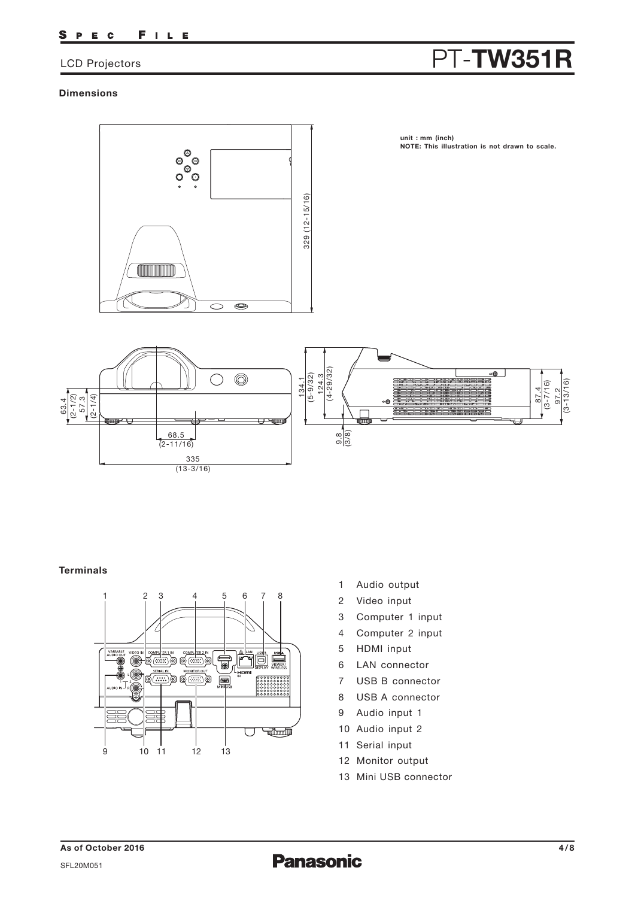### FILE S P E C

# LCD Projectors **PT-TW351R**

## **Dimensions**



## **Terminals**



- 1 Audio output
- 2 Video input
- 3 Computer 1 input
- 4 Computer 2 input
- 5 HDMI input
- 6 LAN connector
- 7 USB B connector
- 8 USB A connector
- 9 Audio input 1
- 10 Audio input 2
- 11 Serial input
- 12 Monitor output
- 13 Mini USB connector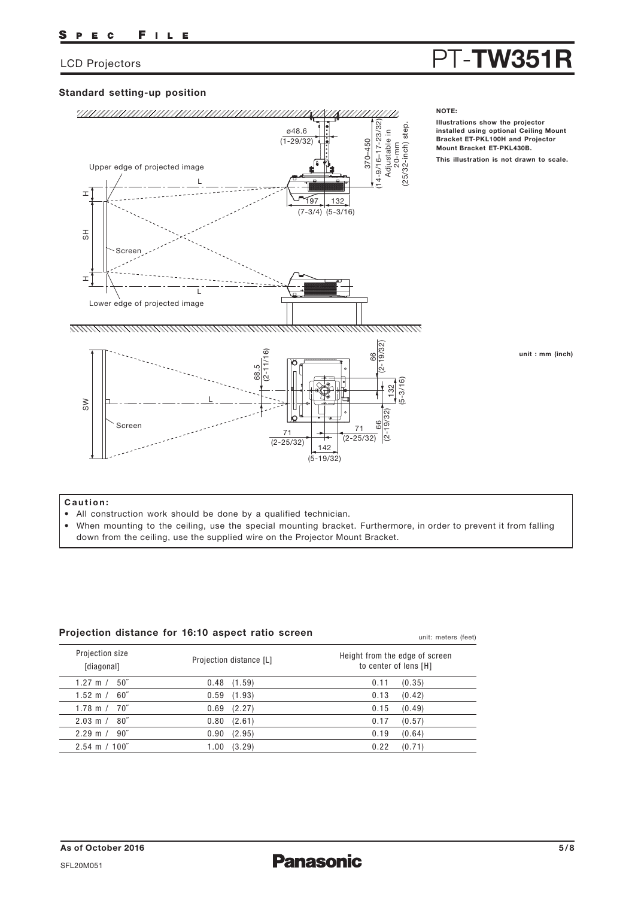# LCD Projectors **PT-TW351R**

## **Standard setting-up position**



## **Caution:**

- All construction work should be done by a qualified technician.
- When mounting to the ceiling, use the special mounting bracket. Furthermore, in order to prevent it from falling down from the ceiling, use the supplied wire on the Projector Mount Bracket.

| Projection distance for 16:10 aspect ratio screen |  |
|---------------------------------------------------|--|
|---------------------------------------------------|--|

| Projection size<br>[diagonal]   | Projection distance [L] | Height from the edge of screen<br>to center of lens [H] |
|---------------------------------|-------------------------|---------------------------------------------------------|
| 50″<br>1.27 m $/$               | $0.48$ $(1.59)$         | (0.35)<br>0.11                                          |
| 60″<br>1.52 m $/$               | 0.59<br>(1.93)          | 0.13<br>(0.42)                                          |
| 70″<br>1.78 m $/$               | 0.69<br>(2.27)          | (0.49)<br>0.15                                          |
| $2.03 \text{ m} / 80$ "         | (2.61)<br>0.80          | (0.57)<br>0.17                                          |
| $90^{''}$<br>$2.29 \text{ m}$ / | 0.90<br>(2.95)          | 0.19<br>(0.64)                                          |
| $2.54 \text{ m} / 100$ "        | (3.29)<br>1.00          | 0.22<br>(0.71)                                          |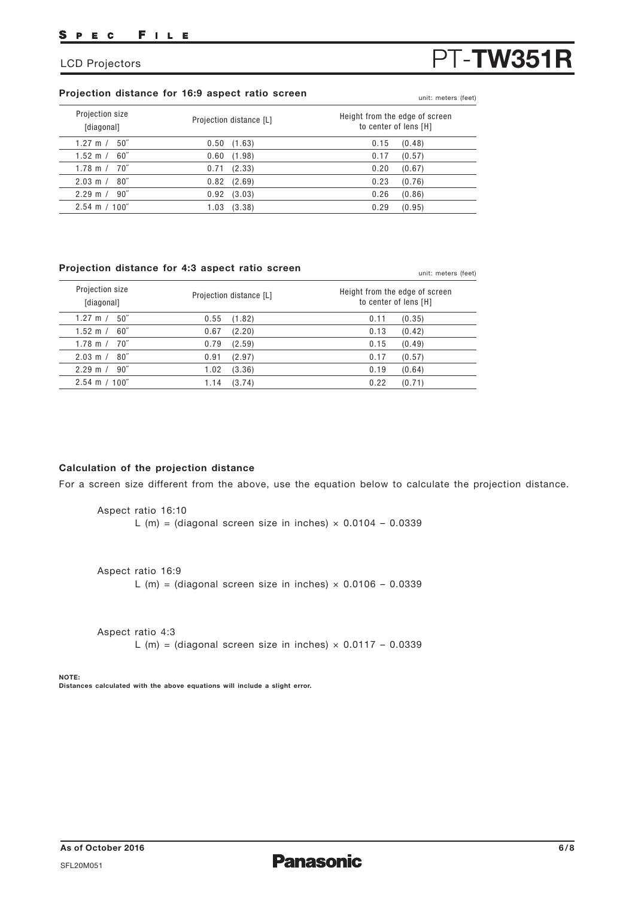# **Projection distance for 16:9 aspect ratio screen** unit: meters (feet)

| Projection size<br>[diagonal] | Projection distance [L] | Height from the edge of screen<br>to center of lens [H] |
|-------------------------------|-------------------------|---------------------------------------------------------|
| $50^{\circ}$<br>1.27 m $/$    | (1.63)<br>0.50          | (0.48)<br>0.15                                          |
| 1.52 m $/$<br>$60^{\circ}$    | (1.98)<br>0.60          | (0.57)<br>0.17                                          |
| $1.78 \text{ m} / 70^{7}$     | (2.33)<br>0.71          | 0.20<br>(0.67)                                          |
| $2.03 \text{ m} / 80$ "       | (2.69)<br>0.82          | 0.23<br>(0.76)                                          |
| $2.29 \text{ m}$ /<br>90"     | (3.03)<br>0.92          | 0.26<br>(0.86)                                          |
| $2.54 \text{ m} / 100$ "      | (3.38)<br>1.03          | 0.29<br>(0.95)                                          |

## **Projection distance for 4:3 aspect ratio screen**

| Projection size<br>[diagonal] | Projection distance [L] | Height from the edge of screen<br>to center of lens [H] |
|-------------------------------|-------------------------|---------------------------------------------------------|
| $50^{\circ}$                  | 0.55                    | (0.35)                                                  |
| 1.27 m $/$                    | (1.82)                  | 0.11                                                    |
| 60"                           | 0.67                    | 0.13                                                    |
| 1.52 m $/$                    | (2.20)                  | (0.42)                                                  |
| 70″                           | 0.79                    | (0.49)                                                  |
| 1.78 m $/$                    | (2.59)                  | 0.15                                                    |
| 80 <sup>''</sup>              | 0.91                    | 0.17                                                    |
| $2.03 \text{ m}$ /            | (2.97)                  | (0.57)                                                  |
| 90"                           | 1.02                    | 0.19                                                    |
| $2.29$ m /                    | (3.36)                  | (0.64)                                                  |
| $2.54 \text{ m} / 100$ "      | (3.74)<br>1.14          | 0.22<br>(0.71)                                          |

## **Calculation of the projection distance**

For a screen size different from the above, use the equation below to calculate the projection distance.

Aspect ratio 16:10 L (m) = (diagonal screen size in inches)  $\times$  0.0104 - 0.0339

Aspect ratio 16:9 L (m) = (diagonal screen size in inches)  $\times$  0.0106 - 0.0339

Aspect ratio 4:3 L (m) = (diagonal screen size in inches)  $\times$  0.0117 - 0.0339

### **NOTE: Distances calculated with the above equations will include a slight error.**

# LCD Projectors **PT-TW351R**

unit: meters (feet)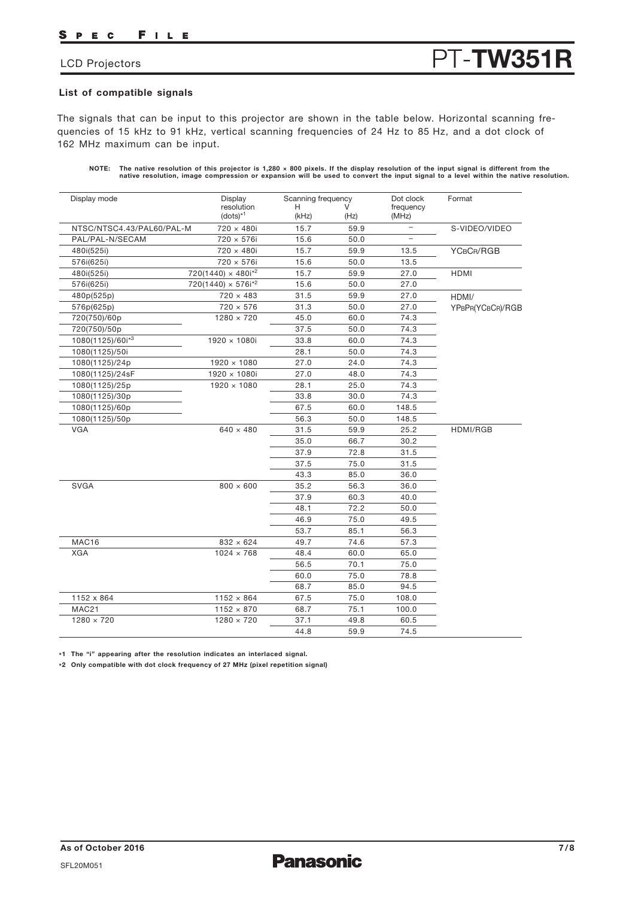### FILE P E C

# LCD Projectors **PT-TW351R**

## **List of compatible signals**

The signals that can be input to this projector are shown in the table below. Horizontal scanning frequencies of 15 kHz to 91 kHz, vertical scanning frequencies of 24 Hz to 85 Hz, and a dot clock of 162 MHz maximum can be input.

**NOTE: The native resolution of this projector is 1,280 × 800 pixels. If the display resolution of the input signal is different from the native resolution, image compression or expansion will be used to convert the input signal to a level within the native resolution.**

| Display mode              | Display<br>resolution          | Scanning frequency<br>н |      | Dot clock                | Format           |
|---------------------------|--------------------------------|-------------------------|------|--------------------------|------------------|
|                           | $(dots)^{*1}$                  | (kHz)                   | (Hz) | frequency<br>(MHz)       |                  |
| NTSC/NTSC4.43/PAL60/PAL-M | 720 × 480i                     | 15.7                    | 59.9 | $\overline{\phantom{0}}$ | S-VIDEO/VIDEO    |
| PAL/PAL-N/SECAM           | 720 × 576i                     | 15.6                    | 50.0 | $\equiv$                 |                  |
| 480i(525i)                | 720 × 480i                     | 15.7                    | 59.9 | 13.5                     | YCBCR/RGB        |
| 576i(625i)                | 720 × 576i                     | 15.6                    | 50.0 | 13.5                     |                  |
| 480i(525i)                | $720(1440) \times 480i^{2}$    | 15.7                    | 59.9 | 27.0                     | <b>HDMI</b>      |
| 576i(625i)                | 720(1440) × 576i <sup>*2</sup> | 15.6                    | 50.0 | 27.0                     |                  |
| 480p(525p)                | $720 \times 483$               | 31.5                    | 59.9 | 27.0                     | HDMI/            |
| 576p(625p)                | $720 \times 576$               | 31.3                    | 50.0 | 27.0                     | YPBPR(YCBCR)/RGB |
| 720(750)/60p              | $1280 \times 720$              | 45.0                    | 60.0 | 74.3                     |                  |
| 720(750)/50p              |                                | 37.5                    | 50.0 | 74.3                     |                  |
| 1080(1125)/60i*3          | $1920 \times 1080i$            | 33.8                    | 60.0 | 74.3                     |                  |
| 1080(1125)/50i            |                                | 28.1                    | 50.0 | 74.3                     |                  |
| 1080(1125)/24p            | $1920 \times 1080$             | 27.0                    | 24.0 | 74.3                     |                  |
| 1080(1125)/24sF           | 1920 × 1080i                   | 27.0                    | 48.0 | 74.3                     |                  |
| 1080(1125)/25p            | $1920 \times 1080$             | 28.1                    | 25.0 | 74.3                     |                  |
| 1080(1125)/30p            |                                | 33.8                    | 30.0 | 74.3                     |                  |
| 1080(1125)/60p            |                                | 67.5                    | 60.0 | 148.5                    |                  |
| 1080(1125)/50p            |                                | 56.3                    | 50.0 | 148.5                    |                  |
| <b>VGA</b>                | $640 \times 480$               | 31.5                    | 59.9 | 25.2                     | HDMI/RGB         |
|                           |                                | 35.0                    | 66.7 | 30.2                     |                  |
|                           |                                | 37.9                    | 72.8 | 31.5                     |                  |
|                           |                                | 37.5                    | 75.0 | 31.5                     |                  |
|                           |                                | 43.3                    | 85.0 | 36.0                     |                  |
| <b>SVGA</b>               | $800 \times 600$               | 35.2                    | 56.3 | 36.0                     |                  |
|                           |                                | 37.9                    | 60.3 | 40.0                     |                  |
|                           |                                | 48.1                    | 72.2 | 50.0                     |                  |
|                           |                                | 46.9                    | 75.0 | 49.5                     |                  |
|                           |                                | 53.7                    | 85.1 | 56.3                     |                  |
| MAC16                     | $832 \times 624$               | 49.7                    | 74.6 | 57.3                     |                  |
| <b>XGA</b>                | $1024 \times 768$              | 48.4                    | 60.0 | 65.0                     |                  |
|                           |                                | 56.5                    | 70.1 | 75.0                     |                  |
|                           |                                | 60.0                    | 75.0 | 78.8                     |                  |
|                           |                                | 68.7                    | 85.0 | 94.5                     |                  |
| 1152 x 864                | $1152 \times 864$              | 67.5                    | 75.0 | 108.0                    |                  |
| MAC21                     | $1152 \times 870$              | 68.7                    | 75.1 | 100.0                    |                  |
| $1280 \times 720$         | $1280 \times 720$              | 37.1                    | 49.8 | 60.5                     |                  |
|                           |                                | 44.8                    | 59.9 | 74.5                     |                  |

**\*1 The "i" appearing after the resolution indicates an interlaced signal.**

**\*2 Only compatible with dot clock frequency of 27 MHz (pixel repetition signal)**